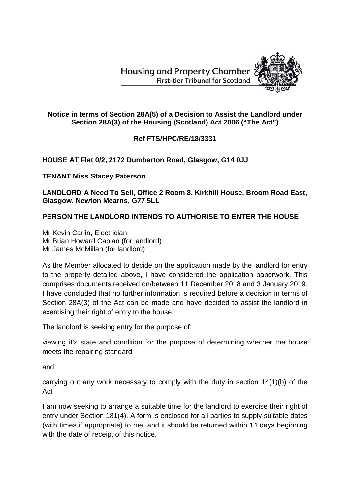**Housing and Property Chamber First-tier Tribunal for Scotland** 



## **Notice in terms of Section 28A(5) of a Decision to Assist the Landlord under Section 28A(3) of the Housing (Scotland) Act 2006 ("The Act")**

## **Ref FTS/HPC/RE/18/3331**

## **HOUSE AT Flat 0/2, 2172 Dumbarton Road, Glasgow, G14 0JJ**

**TENANT Miss Stacey Paterson**

**LANDLORD A Need To Sell, Office 2 Room 8, Kirkhill House, Broom Road East, Glasgow, Newton Mearns, G77 5LL**

## **PERSON THE LANDLORD INTENDS TO AUTHORISE TO ENTER THE HOUSE**

Mr Kevin Carlin, Electrician Mr Brian Howard Caplan (for landlord) Mr James McMillan (for landlord)

As the Member allocated to decide on the application made by the landlord for entry to the property detailed above, I have considered the application paperwork. This comprises documents received on/between 11 December 2018 and 3 January 2019. I have concluded that no further information is required before a decision in terms of Section 28A(3) of the Act can be made and have decided to assist the landlord in exercising their right of entry to the house.

The landlord is seeking entry for the purpose of:

viewing it's state and condition for the purpose of determining whether the house meets the repairing standard

and

carrying out any work necessary to comply with the duty in section 14(1)(b) of the Act

I am now seeking to arrange a suitable time for the landlord to exercise their right of entry under Section 181(4). A form is enclosed for all parties to supply suitable dates (with times if appropriate) to me, and it should be returned within 14 days beginning with the date of receipt of this notice.